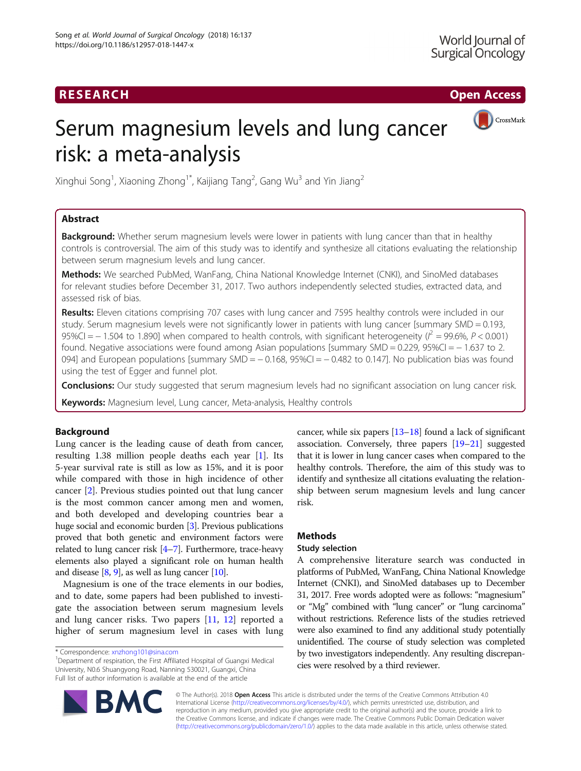# RESEARCH **RESEARCH CHOOSE ACCESS**



# Serum magnesium levels and lung cancer risk: a meta-analysis

Xinghui Song<sup>1</sup>, Xiaoning Zhong<sup>1\*</sup>, Kaijiang Tang<sup>2</sup>, Gang Wu<sup>3</sup> and Yin Jiang<sup>2</sup>

# Abstract

Background: Whether serum magnesium levels were lower in patients with lung cancer than that in healthy controls is controversial. The aim of this study was to identify and synthesize all citations evaluating the relationship between serum magnesium levels and lung cancer.

Methods: We searched PubMed, WanFang, China National Knowledge Internet (CNKI), and SinoMed databases for relevant studies before December 31, 2017. Two authors independently selected studies, extracted data, and assessed risk of bias.

Results: Eleven citations comprising 707 cases with lung cancer and 7595 healthy controls were included in our study. Serum magnesium levels were not significantly lower in patients with lung cancer [summary SMD = 0.193, 95%CI =  $-$  1.504 to 1.890] when compared to health controls, with significant heterogeneity ( $l^2$  = 99.6%, P < 0.001) found. Negative associations were found among Asian populations [summary SMD = 0.229, 95%CI = − 1.637 to 2. 094] and European populations [summary SMD = - 0.168, 95%CI = - 0.482 to 0.147]. No publication bias was found using the test of Egger and funnel plot.

**Conclusions:** Our study suggested that serum magnesium levels had no significant association on lung cancer risk.

Keywords: Magnesium level, Lung cancer, Meta-analysis, Healthy controls

# Background

Lung cancer is the leading cause of death from cancer, resulting 1.38 million people deaths each year [[1\]](#page-5-0). Its 5-year survival rate is still as low as 15%, and it is poor while compared with those in high incidence of other cancer [[2\]](#page-5-0). Previous studies pointed out that lung cancer is the most common cancer among men and women, and both developed and developing countries bear a huge social and economic burden [\[3](#page-5-0)]. Previous publications proved that both genetic and environment factors were related to lung cancer risk [\[4](#page-5-0)–[7](#page-5-0)]. Furthermore, trace-heavy elements also played a significant role on human health and disease  $[8, 9]$  $[8, 9]$  $[8, 9]$  $[8, 9]$ , as well as lung cancer  $[10]$ .

Magnesium is one of the trace elements in our bodies, and to date, some papers had been published to investigate the association between serum magnesium levels and lung cancer risks. Two papers [[11,](#page-5-0) [12](#page-5-0)] reported a higher of serum magnesium level in cases with lung cancer, while six papers [\[13](#page-5-0)–[18\]](#page-5-0) found a lack of significant association. Conversely, three papers [[19](#page-5-0)–[21\]](#page-5-0) suggested that it is lower in lung cancer cases when compared to the healthy controls. Therefore, the aim of this study was to identify and synthesize all citations evaluating the relationship between serum magnesium levels and lung cancer risk.

# Methods

# Study selection

A comprehensive literature search was conducted in platforms of PubMed, WanFang, China National Knowledge Internet (CNKI), and SinoMed databases up to December 31, 2017. Free words adopted were as follows: "magnesium" or "Mg" combined with "lung cancer" or "lung carcinoma" without restrictions. Reference lists of the studies retrieved were also examined to find any additional study potentially unidentified. The course of study selection was completed by two investigators independently. Any resulting discrepancies were resolved by a third reviewer.



© The Author(s). 2018 Open Access This article is distributed under the terms of the Creative Commons Attribution 4.0 International License [\(http://creativecommons.org/licenses/by/4.0/](http://creativecommons.org/licenses/by/4.0/)), which permits unrestricted use, distribution, and reproduction in any medium, provided you give appropriate credit to the original author(s) and the source, provide a link to the Creative Commons license, and indicate if changes were made. The Creative Commons Public Domain Dedication waiver [\(http://creativecommons.org/publicdomain/zero/1.0/](http://creativecommons.org/publicdomain/zero/1.0/)) applies to the data made available in this article, unless otherwise stated.

<sup>\*</sup> Correspondence: [xnzhong101@sina.com](mailto:xnzhong101@sina.com) <sup>1</sup>

<sup>&</sup>lt;sup>1</sup>Department of respiration, the First Affiliated Hospital of Guangxi Medical University, N0.6 Shuangyong Road, Nanning 530021, Guangxi, China Full list of author information is available at the end of the article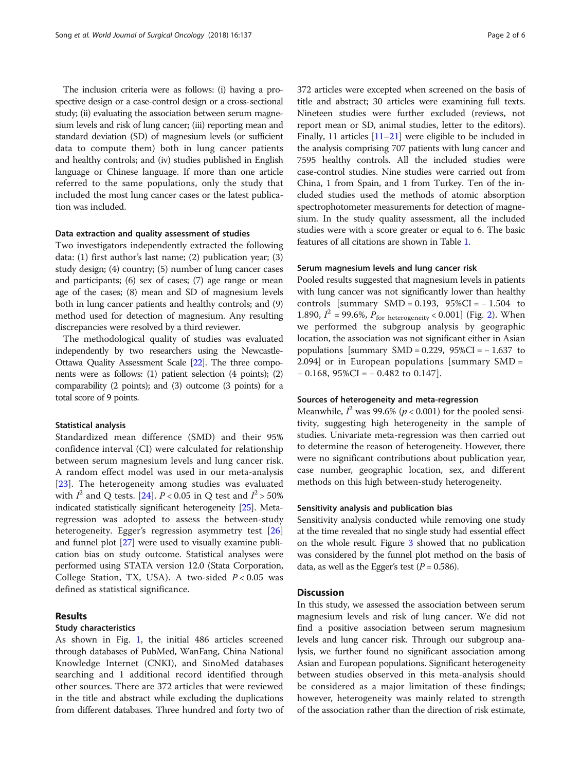The inclusion criteria were as follows: (i) having a prospective design or a case-control design or a cross-sectional study; (ii) evaluating the association between serum magnesium levels and risk of lung cancer; (iii) reporting mean and standard deviation (SD) of magnesium levels (or sufficient data to compute them) both in lung cancer patients and healthy controls; and (iv) studies published in English language or Chinese language. If more than one article referred to the same populations, only the study that included the most lung cancer cases or the latest publication was included.

# Data extraction and quality assessment of studies

Two investigators independently extracted the following data: (1) first author's last name; (2) publication year; (3) study design; (4) country; (5) number of lung cancer cases and participants; (6) sex of cases; (7) age range or mean age of the cases; (8) mean and SD of magnesium levels both in lung cancer patients and healthy controls; and (9) method used for detection of magnesium. Any resulting discrepancies were resolved by a third reviewer.

The methodological quality of studies was evaluated independently by two researchers using the Newcastle-Ottawa Quality Assessment Scale [\[22](#page-5-0)]. The three components were as follows: (1) patient selection (4 points); (2) comparability (2 points); and (3) outcome (3 points) for a total score of 9 points.

## Statistical analysis

Standardized mean difference (SMD) and their 95% confidence interval (CI) were calculated for relationship between serum magnesium levels and lung cancer risk. A random effect model was used in our meta-analysis [[23\]](#page-5-0). The heterogeneity among studies was evaluated with  $I^2$  and Q tests. [[24\]](#page-5-0).  $P < 0.05$  in Q test and  $I^2 > 50\%$ indicated statistically significant heterogeneity [\[25](#page-5-0)]. Metaregression was adopted to assess the between-study heterogeneity. Egger's regression asymmetry test [\[26](#page-5-0)] and funnel plot [[27](#page-5-0)] were used to visually examine publication bias on study outcome. Statistical analyses were performed using STATA version 12.0 (Stata Corporation, College Station, TX, USA). A two-sided  $P < 0.05$  was defined as statistical significance.

# Results

## Study characteristics

As shown in Fig. [1](#page-2-0), the initial 486 articles screened through databases of PubMed, WanFang, China National Knowledge Internet (CNKI), and SinoMed databases searching and 1 additional record identified through other sources. There are 372 articles that were reviewed in the title and abstract while excluding the duplications from different databases. Three hundred and forty two of 372 articles were excepted when screened on the basis of title and abstract; 30 articles were examining full texts. Nineteen studies were further excluded (reviews, not report mean or SD, animal studies, letter to the editors). Finally, 11 articles [[11](#page-5-0)–[21](#page-5-0)] were eligible to be included in the analysis comprising 707 patients with lung cancer and 7595 healthy controls. All the included studies were case-control studies. Nine studies were carried out from China, 1 from Spain, and 1 from Turkey. Ten of the included studies used the methods of atomic absorption spectrophotometer measurements for detection of magnesium. In the study quality assessment, all the included studies were with a score greater or equal to 6. The basic features of all citations are shown in Table [1](#page-3-0).

## Serum magnesium levels and lung cancer risk

Pooled results suggested that magnesium levels in patients with lung cancer was not significantly lower than healthy controls [summary SMD = 0.193,  $95\%CI = -1.504$  to 1.890,  $I^2$  = 99.6%,  $P_{\text{for heterogeneity}}$  < 0.001] (Fig. [2\)](#page-4-0). When we performed the subgroup analysis by geographic location, the association was not significant either in Asian populations [summary SMD =  $0.229$ ,  $95\%CI = -1.637$  to 2.094] or in European populations [summary SMD =  $-0.168$ , 95%CI =  $-0.482$  to 0.147].

## Sources of heterogeneity and meta-regression

Meanwhile,  $I^2$  was 99.6% ( $p < 0.001$ ) for the pooled sensitivity, suggesting high heterogeneity in the sample of studies. Univariate meta-regression was then carried out to determine the reason of heterogeneity. However, there were no significant contributions about publication year, case number, geographic location, sex, and different methods on this high between-study heterogeneity.

## Sensitivity analysis and publication bias

Sensitivity analysis conducted while removing one study at the time revealed that no single study had essential effect on the whole result. Figure [3](#page-4-0) showed that no publication was considered by the funnel plot method on the basis of data, as well as the Egger's test ( $P = 0.586$ ).

# Discussion

In this study, we assessed the association between serum magnesium levels and risk of lung cancer. We did not find a positive association between serum magnesium levels and lung cancer risk. Through our subgroup analysis, we further found no significant association among Asian and European populations. Significant heterogeneity between studies observed in this meta-analysis should be considered as a major limitation of these findings; however, heterogeneity was mainly related to strength of the association rather than the direction of risk estimate,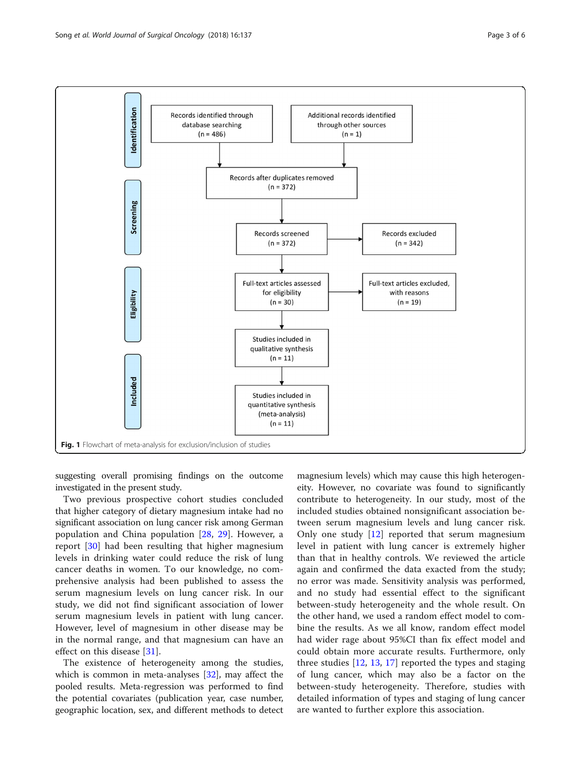<span id="page-2-0"></span>

suggesting overall promising findings on the outcome investigated in the present study.

Two previous prospective cohort studies concluded that higher category of dietary magnesium intake had no significant association on lung cancer risk among German population and China population [[28,](#page-5-0) [29](#page-5-0)]. However, a report [[30\]](#page-5-0) had been resulting that higher magnesium levels in drinking water could reduce the risk of lung cancer deaths in women. To our knowledge, no comprehensive analysis had been published to assess the serum magnesium levels on lung cancer risk. In our study, we did not find significant association of lower serum magnesium levels in patient with lung cancer. However, level of magnesium in other disease may be in the normal range, and that magnesium can have an effect on this disease [[31\]](#page-5-0).

The existence of heterogeneity among the studies, which is common in meta-analyses [[32](#page-5-0)], may affect the pooled results. Meta-regression was performed to find the potential covariates (publication year, case number, geographic location, sex, and different methods to detect

magnesium levels) which may cause this high heterogeneity. However, no covariate was found to significantly contribute to heterogeneity. In our study, most of the included studies obtained nonsignificant association between serum magnesium levels and lung cancer risk. Only one study [\[12](#page-5-0)] reported that serum magnesium level in patient with lung cancer is extremely higher than that in healthy controls. We reviewed the article again and confirmed the data exacted from the study; no error was made. Sensitivity analysis was performed, and no study had essential effect to the significant between-study heterogeneity and the whole result. On the other hand, we used a random effect model to combine the results. As we all know, random effect model had wider rage about 95%CI than fix effect model and could obtain more accurate results. Furthermore, only three studies [\[12](#page-5-0), [13,](#page-5-0) [17](#page-5-0)] reported the types and staging of lung cancer, which may also be a factor on the between-study heterogeneity. Therefore, studies with detailed information of types and staging of lung cancer are wanted to further explore this association.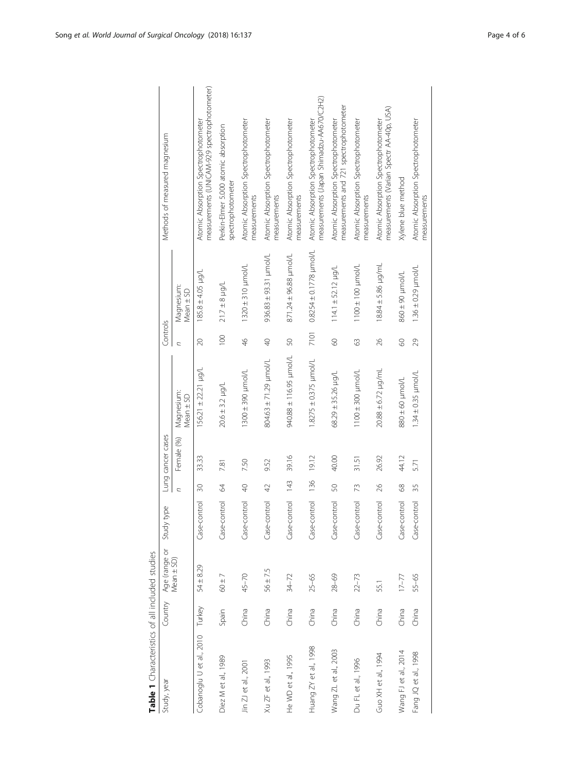<span id="page-3-0"></span>

| Table 1 Characteristics of all included studies |         |                |                 |                |                   |                             |                  |                                |                                                                                    |
|-------------------------------------------------|---------|----------------|-----------------|----------------|-------------------|-----------------------------|------------------|--------------------------------|------------------------------------------------------------------------------------|
| Study, year                                     | Country | Age (range or  | ' type<br>Study |                | Lung cancer cases |                             | Controls         |                                | Methods of measured magnesium                                                      |
|                                                 |         | Mean $\pm$ SD) |                 | C              | Female (%)        | Magnesium:<br>Mean ± SD     | C                | Magnesium:<br>$Mean \pm SD$    |                                                                                    |
| Cobanoglu U et al., 2010 Turkey                 |         | $54 + 8.29$    | Case-control    | 30             | 33.33             | $156.21 \pm 22.21$ µg/L     | 20               | $185.8 \pm 4.05$ µg/L          | measurements (UNICAM-929 spectrophotometer)<br>Atomic Absorption Spectrophotometer |
| Diez M et al., 1989                             | Spain   | $60\pm7$       | Case-control    | 8              | 7.81              | $20.6 \pm 3.2 \mu g/L$      | $\overline{100}$ | $21.7 \pm 8$ µg/L              | Perkin-Elmer 5.000 atomic absorption<br>spectrophotometer                          |
| Jin ZJ et al., 2001                             | China   | $45 - 70$      | Case-control    | $\sqrt{4}$     | 7.50              | $1300 \pm 390$ $\mu$ mol/L  | $\frac{4}{6}$    | $1320 \pm 310$ $\mu$ mol/L     | Atomic Absorption Spectrophotometer<br>measurements                                |
| Xu ZF et al., 1993                              | China   | $56 + 7.5$     | Case-control    | $\overline{4}$ | 9.52              | 804.63 ± 71.29 µmol/L       | $\overline{Q}$   | $936.83 \pm 93.31$ $\mu$ mol/L | Atomic Absorption Spectrophotometer<br>measurements                                |
| He WD et al., 1995                              | China   | $34 - 72$      | Case-control    | $\frac{43}{5}$ | 39.16             | J/loun 56'911 38'066        | 50               | 871.24 ± 96.88 µmol/L          | Atomic Absorption Spectrophotometer<br>measurements                                |
| Huang ZY et al., 1998                           | China   | $25 - 65$      | Case-control    | 136            | 19.12             | $1.8275 \pm 0.375$ µmol/L   | 7101             | $0.8254 \pm 0.1778$ µmol/L     | measurements (Japan Shimadzu-AA670/C2H2)<br>Atomic Absorption Spectrophotometer    |
| Wang ZL et al., 2003                            | China   | $28 - 69$      | Case-control    | 50             | 40.00             | $68.29 \pm 35.26$ $\mu$ g/L | 09               | $114.1 \pm 52.12$ µg/L         | measurements and 721 spectrophotometer<br>Atomic Absorption Spectrophotometer      |
| Du FL et al., 1996                              | China   | $22 - 73$      | Case-control    | 73             | 31.51             | $11000 \pm 300$ $\mu$ mol/L | 63               | $1100 \pm 100$ µmol/L          | Atomic Absorption Spectrophotometer<br>measurements                                |
| Guo XH et al., 1994                             | China   | 55.1           | Case-control    | $\frac{26}{5}$ | 26.92             | $20.88 \pm 6.72$ µg/mL      | 26               | $18.84 \pm 5.86$ µg/mL         | measurements (Varian Spectr AA-40p, USA)<br>Atomic Absorption Spectrophotometer    |
| Wang FJ et al., 2014                            | China   | $17 - 77$      | Case-control    | 68             | 44.12             | $1$ /lomu 09 $\pm$ 080      | 09               | 1/lound 06 ∓098                | Xylene blue method                                                                 |
| Fang JQ et al., 1998                            | China   | 55-65          | Case-control    | 35             | 5.71              | $1.34 \pm 0.35$ µmol/L      | 29               | $1.36 \pm 0.29$ µmol/L         | Atomic Absorption Spectrophotometer<br>measurements                                |

Table 1 Characteristics of all included studies cheristics of all included studie  $\overline{\phantom{a}}$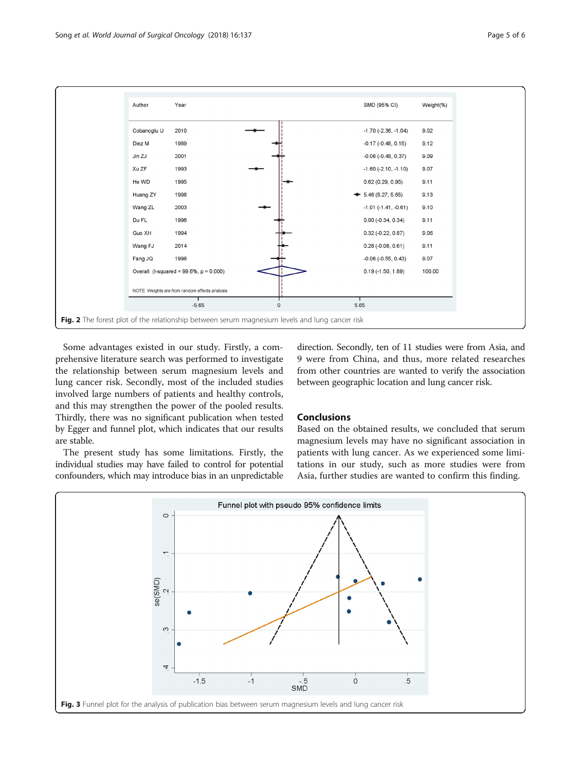<span id="page-4-0"></span>

Some advantages existed in our study. Firstly, a comprehensive literature search was performed to investigate the relationship between serum magnesium levels and lung cancer risk. Secondly, most of the included studies involved large numbers of patients and healthy controls, and this may strengthen the power of the pooled results. Thirdly, there was no significant publication when tested by Egger and funnel plot, which indicates that our results are stable.

The present study has some limitations. Firstly, the individual studies may have failed to control for potential confounders, which may introduce bias in an unpredictable direction. Secondly, ten of 11 studies were from Asia, and 9 were from China, and thus, more related researches from other countries are wanted to verify the association between geographic location and lung cancer risk.

# Conclusions

Based on the obtained results, we concluded that serum magnesium levels may have no significant association in patients with lung cancer. As we experienced some limitations in our study, such as more studies were from Asia, further studies are wanted to confirm this finding.